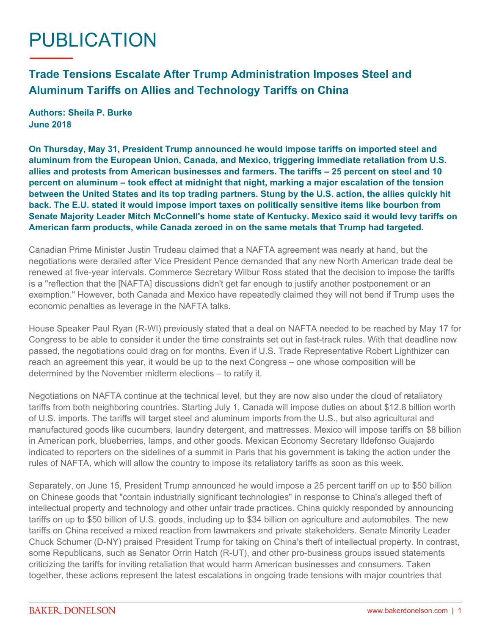## PUBLICATION

## **Trade Tensions Escalate After Trump Administration Imposes Steel and Aluminum Tariffs on Allies and Technology Tariffs on China**

**Authors: Sheila P. Burke June 2018**

**On Thursday, May 31, President Trump announced he would impose tariffs on imported steel and aluminum from the European Union, Canada, and Mexico, triggering immediate retaliation from U.S. allies and protests from American businesses and farmers. The tariffs – 25 percent on steel and 10 percent on aluminum – took effect at midnight that night, marking a major escalation of the tension between the United States and its top trading partners. Stung by the U.S. action, the allies quickly hit back. The E.U. stated it would impose import taxes on politically sensitive items like bourbon from Senate Majority Leader Mitch McConnell's home state of Kentucky. Mexico said it would levy tariffs on American farm products, while Canada zeroed in on the same metals that Trump had targeted.**

Canadian Prime Minister Justin Trudeau claimed that a NAFTA agreement was nearly at hand, but the negotiations were derailed after Vice President Pence demanded that any new North American trade deal be renewed at five-year intervals. Commerce Secretary Wilbur Ross stated that the decision to impose the tariffs is a "reflection that the [NAFTA] discussions didn't get far enough to justify another postponement or an exemption." However, both Canada and Mexico have repeatedly claimed they will not bend if Trump uses the economic penalties as leverage in the NAFTA talks.

House Speaker Paul Ryan (R-WI) previously stated that a deal on NAFTA needed to be reached by May 17 for Congress to be able to consider it under the time constraints set out in fast-track rules. With that deadline now passed, the negotiations could drag on for months. Even if U.S. Trade Representative Robert Lighthizer can reach an agreement this year, it would be up to the next Congress – one whose composition will be determined by the November midterm elections – to ratify it.

Negotiations on NAFTA continue at the technical level, but they are now also under the cloud of retaliatory tariffs from both neighboring countries. Starting July 1, Canada will impose duties on about \$12.8 billion worth of U.S. imports. The tariffs will target steel and aluminum imports from the U.S., but also agricultural and manufactured goods like cucumbers, laundry detergent, and mattresses. Mexico will impose tariffs on \$8 billion in American pork, blueberries, lamps, and other goods. Mexican Economy Secretary Ildefonso Guajardo indicated to reporters on the sidelines of a summit in Paris that his government is taking the action under the rules of NAFTA, which will allow the country to impose its retaliatory tariffs as soon as this week.

Separately, on June 15, President Trump announced he would impose a 25 percent tariff on up to \$50 billion on Chinese goods that "contain industrially significant technologies" in response to China's alleged theft of intellectual property and technology and other unfair trade practices. China quickly responded by announcing tariffs on up to \$50 billion of U.S. goods, including up to \$34 billion on agriculture and automobiles. The new tariffs on China received a mixed reaction from lawmakers and private stakeholders. Senate Minority Leader Chuck Schumer (D-NY) praised President Trump for taking on China's theft of intellectual property. In contrast, some Republicans, such as Senator Orrin Hatch (R-UT), and other pro-business groups issued statements criticizing the tariffs for inviting retaliation that would harm American businesses and consumers. Taken together, these actions represent the latest escalations in ongoing trade tensions with major countries that